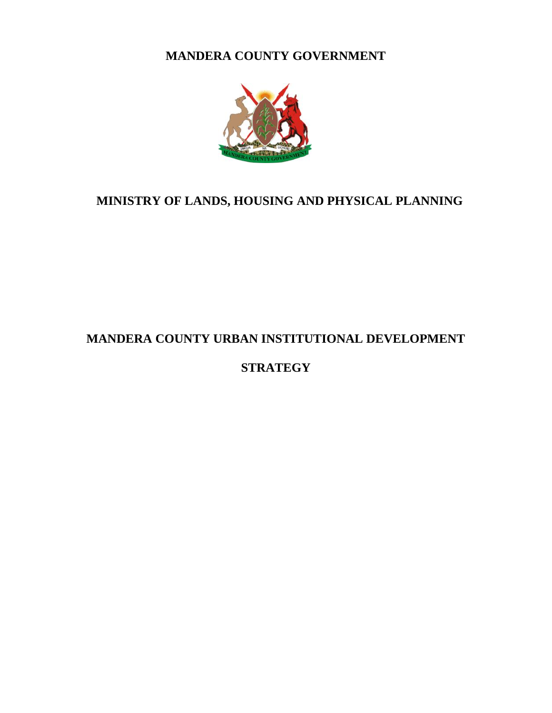**MANDERA COUNTY GOVERNMENT**



# **MINISTRY OF LANDS, HOUSING AND PHYSICAL PLANNING**

# **MANDERA COUNTY URBAN INSTITUTIONAL DEVELOPMENT**

# **STRATEGY**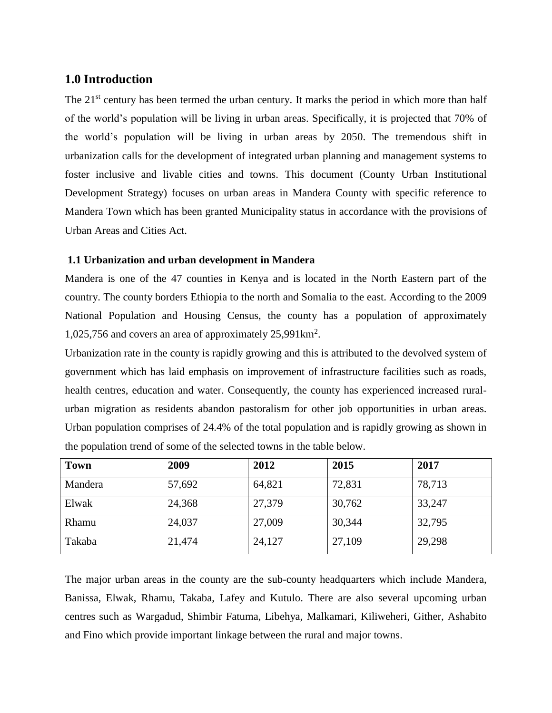# **1.0 Introduction**

The 21<sup>st</sup> century has been termed the urban century. It marks the period in which more than half of the world's population will be living in urban areas. Specifically, it is projected that 70% of the world's population will be living in urban areas by 2050. The tremendous shift in urbanization calls for the development of integrated urban planning and management systems to foster inclusive and livable cities and towns. This document (County Urban Institutional Development Strategy) focuses on urban areas in Mandera County with specific reference to Mandera Town which has been granted Municipality status in accordance with the provisions of Urban Areas and Cities Act.

# **1.1 Urbanization and urban development in Mandera**

Mandera is one of the 47 counties in Kenya and is located in the North Eastern part of the country. The county borders Ethiopia to the north and Somalia to the east. According to the 2009 National Population and Housing Census, the county has a population of approximately 1,025,756 and covers an area of approximately 25,991km<sup>2</sup> .

Urbanization rate in the county is rapidly growing and this is attributed to the devolved system of government which has laid emphasis on improvement of infrastructure facilities such as roads, health centres, education and water. Consequently, the county has experienced increased ruralurban migration as residents abandon pastoralism for other job opportunities in urban areas. Urban population comprises of 24.4% of the total population and is rapidly growing as shown in the population trend of some of the selected towns in the table below.

| <b>Town</b> | 2009   | 2012   | 2015   | 2017   |
|-------------|--------|--------|--------|--------|
| Mandera     | 57,692 | 64,821 | 72,831 | 78,713 |
| Elwak       | 24,368 | 27,379 | 30,762 | 33,247 |
| Rhamu       | 24,037 | 27,009 | 30,344 | 32,795 |
| Takaba      | 21,474 | 24,127 | 27,109 | 29,298 |

The major urban areas in the county are the sub-county headquarters which include Mandera, Banissa, Elwak, Rhamu, Takaba, Lafey and Kutulo. There are also several upcoming urban centres such as Wargadud, Shimbir Fatuma, Libehya, Malkamari, Kiliweheri, Gither, Ashabito and Fino which provide important linkage between the rural and major towns.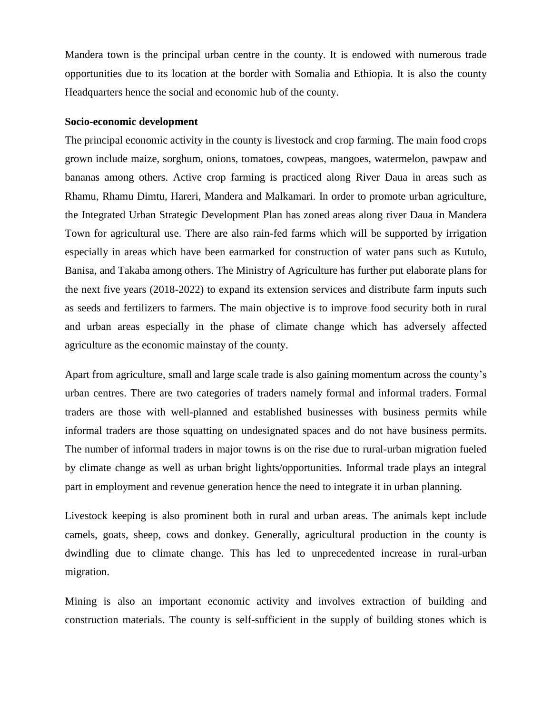Mandera town is the principal urban centre in the county. It is endowed with numerous trade opportunities due to its location at the border with Somalia and Ethiopia. It is also the county Headquarters hence the social and economic hub of the county.

#### **Socio-economic development**

The principal economic activity in the county is livestock and crop farming. The main food crops grown include maize, sorghum, onions, tomatoes, cowpeas, mangoes, watermelon, pawpaw and bananas among others. Active crop farming is practiced along River Daua in areas such as Rhamu, Rhamu Dimtu, Hareri, Mandera and Malkamari. In order to promote urban agriculture, the Integrated Urban Strategic Development Plan has zoned areas along river Daua in Mandera Town for agricultural use. There are also rain-fed farms which will be supported by irrigation especially in areas which have been earmarked for construction of water pans such as Kutulo, Banisa, and Takaba among others. The Ministry of Agriculture has further put elaborate plans for the next five years (2018-2022) to expand its extension services and distribute farm inputs such as seeds and fertilizers to farmers. The main objective is to improve food security both in rural and urban areas especially in the phase of climate change which has adversely affected agriculture as the economic mainstay of the county.

Apart from agriculture, small and large scale trade is also gaining momentum across the county's urban centres. There are two categories of traders namely formal and informal traders. Formal traders are those with well-planned and established businesses with business permits while informal traders are those squatting on undesignated spaces and do not have business permits. The number of informal traders in major towns is on the rise due to rural-urban migration fueled by climate change as well as urban bright lights/opportunities. Informal trade plays an integral part in employment and revenue generation hence the need to integrate it in urban planning.

Livestock keeping is also prominent both in rural and urban areas. The animals kept include camels, goats, sheep, cows and donkey. Generally, agricultural production in the county is dwindling due to climate change. This has led to unprecedented increase in rural-urban migration.

Mining is also an important economic activity and involves extraction of building and construction materials. The county is self-sufficient in the supply of building stones which is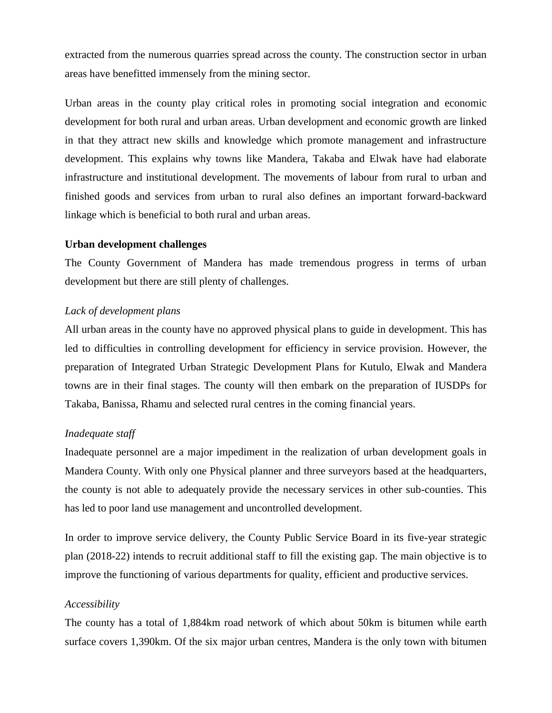extracted from the numerous quarries spread across the county. The construction sector in urban areas have benefitted immensely from the mining sector.

Urban areas in the county play critical roles in promoting social integration and economic development for both rural and urban areas. Urban development and economic growth are linked in that they attract new skills and knowledge which promote management and infrastructure development. This explains why towns like Mandera, Takaba and Elwak have had elaborate infrastructure and institutional development. The movements of labour from rural to urban and finished goods and services from urban to rural also defines an important forward-backward linkage which is beneficial to both rural and urban areas.

### **Urban development challenges**

The County Government of Mandera has made tremendous progress in terms of urban development but there are still plenty of challenges.

### *Lack of development plans*

All urban areas in the county have no approved physical plans to guide in development. This has led to difficulties in controlling development for efficiency in service provision. However, the preparation of Integrated Urban Strategic Development Plans for Kutulo, Elwak and Mandera towns are in their final stages. The county will then embark on the preparation of IUSDPs for Takaba, Banissa, Rhamu and selected rural centres in the coming financial years.

### *Inadequate staff*

Inadequate personnel are a major impediment in the realization of urban development goals in Mandera County. With only one Physical planner and three surveyors based at the headquarters, the county is not able to adequately provide the necessary services in other sub-counties. This has led to poor land use management and uncontrolled development.

In order to improve service delivery, the County Public Service Board in its five-year strategic plan (2018-22) intends to recruit additional staff to fill the existing gap. The main objective is to improve the functioning of various departments for quality, efficient and productive services.

### *Accessibility*

The county has a total of 1,884km road network of which about 50km is bitumen while earth surface covers 1,390km. Of the six major urban centres, Mandera is the only town with bitumen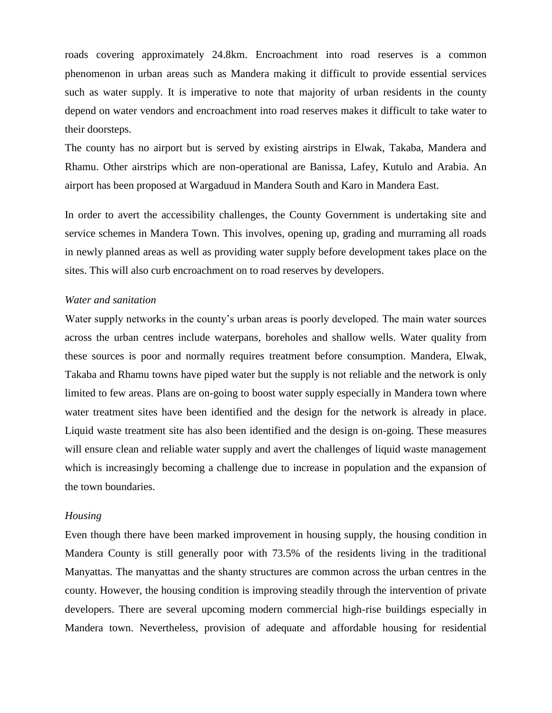roads covering approximately 24.8km. Encroachment into road reserves is a common phenomenon in urban areas such as Mandera making it difficult to provide essential services such as water supply. It is imperative to note that majority of urban residents in the county depend on water vendors and encroachment into road reserves makes it difficult to take water to their doorsteps.

The county has no airport but is served by existing airstrips in Elwak, Takaba, Mandera and Rhamu. Other airstrips which are non-operational are Banissa, Lafey, Kutulo and Arabia. An airport has been proposed at Wargaduud in Mandera South and Karo in Mandera East.

In order to avert the accessibility challenges, the County Government is undertaking site and service schemes in Mandera Town. This involves, opening up, grading and murraming all roads in newly planned areas as well as providing water supply before development takes place on the sites. This will also curb encroachment on to road reserves by developers.

#### *Water and sanitation*

Water supply networks in the county's urban areas is poorly developed. The main water sources across the urban centres include waterpans, boreholes and shallow wells. Water quality from these sources is poor and normally requires treatment before consumption. Mandera, Elwak, Takaba and Rhamu towns have piped water but the supply is not reliable and the network is only limited to few areas. Plans are on-going to boost water supply especially in Mandera town where water treatment sites have been identified and the design for the network is already in place. Liquid waste treatment site has also been identified and the design is on-going. These measures will ensure clean and reliable water supply and avert the challenges of liquid waste management which is increasingly becoming a challenge due to increase in population and the expansion of the town boundaries.

#### *Housing*

Even though there have been marked improvement in housing supply, the housing condition in Mandera County is still generally poor with 73.5% of the residents living in the traditional Manyattas. The manyattas and the shanty structures are common across the urban centres in the county. However, the housing condition is improving steadily through the intervention of private developers. There are several upcoming modern commercial high-rise buildings especially in Mandera town. Nevertheless, provision of adequate and affordable housing for residential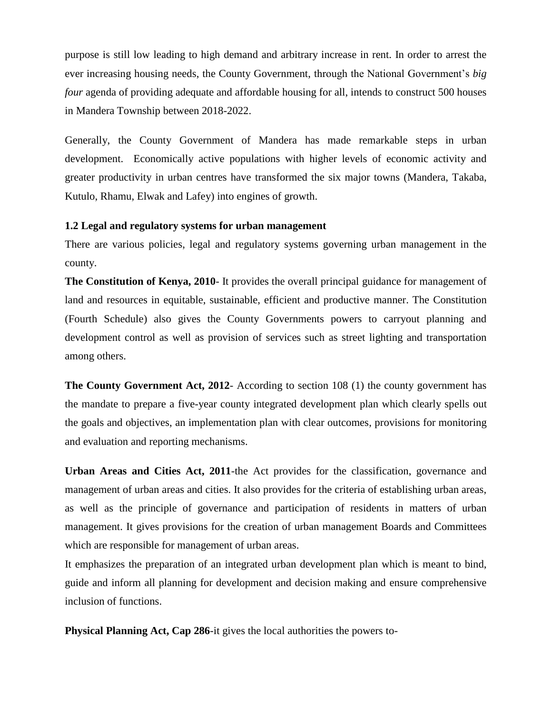purpose is still low leading to high demand and arbitrary increase in rent. In order to arrest the ever increasing housing needs, the County Government, through the National Government's *big four* agenda of providing adequate and affordable housing for all, intends to construct 500 houses in Mandera Township between 2018-2022.

Generally, the County Government of Mandera has made remarkable steps in urban development. Economically active populations with higher levels of economic activity and greater productivity in urban centres have transformed the six major towns (Mandera, Takaba, Kutulo, Rhamu, Elwak and Lafey) into engines of growth.

# **1.2 Legal and regulatory systems for urban management**

There are various policies, legal and regulatory systems governing urban management in the county.

**The Constitution of Kenya, 2010**- It provides the overall principal guidance for management of land and resources in equitable, sustainable, efficient and productive manner. The Constitution (Fourth Schedule) also gives the County Governments powers to carryout planning and development control as well as provision of services such as street lighting and transportation among others.

**The County Government Act, 2012**- According to section 108 (1) the county government has the mandate to prepare a five-year county integrated development plan which clearly spells out the goals and objectives, an implementation plan with clear outcomes, provisions for monitoring and evaluation and reporting mechanisms.

**Urban Areas and Cities Act, 2011**-the Act provides for the classification, governance and management of urban areas and cities. It also provides for the criteria of establishing urban areas, as well as the principle of governance and participation of residents in matters of urban management. It gives provisions for the creation of urban management Boards and Committees which are responsible for management of urban areas.

It emphasizes the preparation of an integrated urban development plan which is meant to bind, guide and inform all planning for development and decision making and ensure comprehensive inclusion of functions.

**Physical Planning Act, Cap 286**-it gives the local authorities the powers to-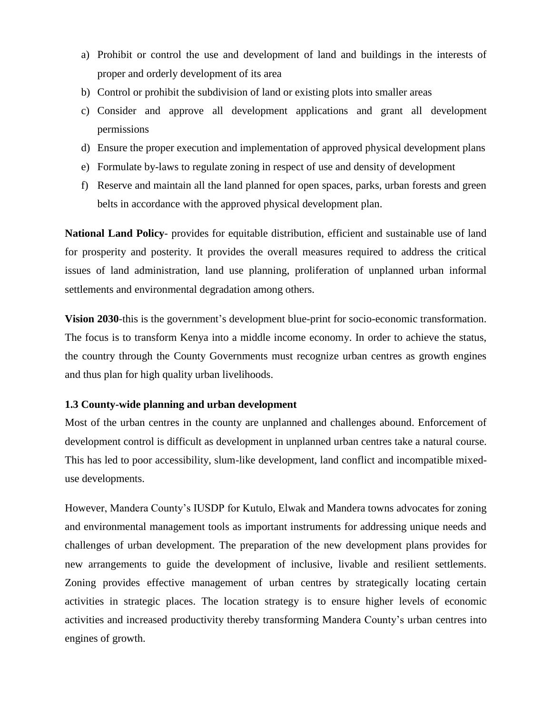- a) Prohibit or control the use and development of land and buildings in the interests of proper and orderly development of its area
- b) Control or prohibit the subdivision of land or existing plots into smaller areas
- c) Consider and approve all development applications and grant all development permissions
- d) Ensure the proper execution and implementation of approved physical development plans
- e) Formulate by-laws to regulate zoning in respect of use and density of development
- f) Reserve and maintain all the land planned for open spaces, parks, urban forests and green belts in accordance with the approved physical development plan.

**National Land Policy**- provides for equitable distribution, efficient and sustainable use of land for prosperity and posterity. It provides the overall measures required to address the critical issues of land administration, land use planning, proliferation of unplanned urban informal settlements and environmental degradation among others.

**Vision 2030**-this is the government's development blue-print for socio-economic transformation. The focus is to transform Kenya into a middle income economy. In order to achieve the status, the country through the County Governments must recognize urban centres as growth engines and thus plan for high quality urban livelihoods.

# **1.3 County-wide planning and urban development**

Most of the urban centres in the county are unplanned and challenges abound. Enforcement of development control is difficult as development in unplanned urban centres take a natural course. This has led to poor accessibility, slum-like development, land conflict and incompatible mixeduse developments.

However, Mandera County's IUSDP for Kutulo, Elwak and Mandera towns advocates for zoning and environmental management tools as important instruments for addressing unique needs and challenges of urban development. The preparation of the new development plans provides for new arrangements to guide the development of inclusive, livable and resilient settlements. Zoning provides effective management of urban centres by strategically locating certain activities in strategic places. The location strategy is to ensure higher levels of economic activities and increased productivity thereby transforming Mandera County's urban centres into engines of growth.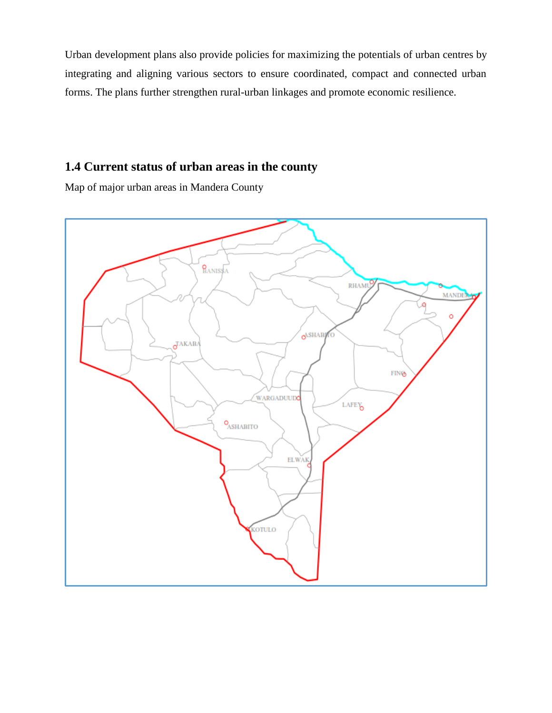Urban development plans also provide policies for maximizing the potentials of urban centres by integrating and aligning various sectors to ensure coordinated, compact and connected urban forms. The plans further strengthen rural-urban linkages and promote economic resilience.

# **1.4 Current status of urban areas in the county**

Map of major urban areas in Mandera County

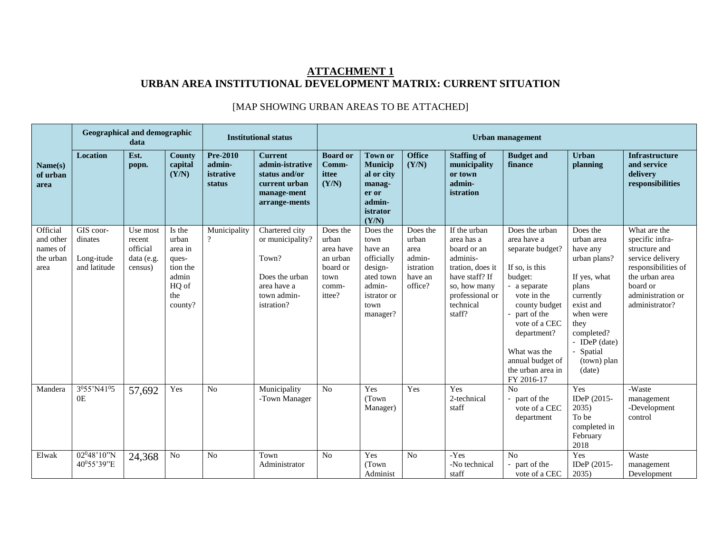# **ATTACHMENT 1 URBAN AREA INSTITUTIONAL DEVELOPMENT MATRIX: CURRENT SITUATION**

|                                                        | <b>Geographical and demographic</b>                    | data                                                    |                                                                                     |                                                  | <b>Institutional status</b>                                                                               | <b>Urban management</b>                                                           |                                                                                                                |                                                                        |                                                                                                                                                       |                                                                                                                                                                                                                                                      |                                                                                                                                                                                                   |                                                                                                                                                                  |  |  |
|--------------------------------------------------------|--------------------------------------------------------|---------------------------------------------------------|-------------------------------------------------------------------------------------|--------------------------------------------------|-----------------------------------------------------------------------------------------------------------|-----------------------------------------------------------------------------------|----------------------------------------------------------------------------------------------------------------|------------------------------------------------------------------------|-------------------------------------------------------------------------------------------------------------------------------------------------------|------------------------------------------------------------------------------------------------------------------------------------------------------------------------------------------------------------------------------------------------------|---------------------------------------------------------------------------------------------------------------------------------------------------------------------------------------------------|------------------------------------------------------------------------------------------------------------------------------------------------------------------|--|--|
| Name(s)<br>of urban<br>area                            | <b>Location</b>                                        | Est.<br>popn.                                           | <b>County</b><br>capital<br>(Y/N)                                                   | <b>Pre-2010</b><br>admin-<br>istrative<br>status | <b>Current</b><br>admin-istrative<br>status and/or<br>current urban<br>manage-ment<br>arrange-ments       | <b>Board or</b><br>Comm-<br>ittee<br>(Y/N)                                        | <b>Town or</b><br><b>Municip</b><br>al or city<br>manag-<br>er or<br>admin-<br>istrator<br>(Y/N)               | <b>Office</b><br>(Y/N)                                                 | <b>Staffing of</b><br>municipality<br>or town<br>admin-<br>istration                                                                                  | <b>Budget and</b><br>finance                                                                                                                                                                                                                         | <b>Urban</b><br>planning                                                                                                                                                                          | <b>Infrastructure</b><br>and service<br>delivery<br>responsibilities                                                                                             |  |  |
| Official<br>and other<br>names of<br>the urban<br>area | GIS coor-<br>dinates<br>Long-itude<br>and latitude     | Use most<br>recent<br>official<br>data (e.g.<br>census) | Is the<br>urban<br>area in<br>ques-<br>tion the<br>admin<br>HQ of<br>the<br>county? | Municipality<br>$\overline{?}$                   | Chartered city<br>or municipality?<br>Town?<br>Does the urban<br>area have a<br>town admin-<br>istration? | Does the<br>urban<br>area have<br>an urban<br>board or<br>town<br>comm-<br>ittee? | Does the<br>town<br>have an<br>officially<br>design-<br>ated town<br>admin-<br>istrator or<br>town<br>manager? | Does the<br>urban<br>area<br>admin-<br>istration<br>have an<br>office? | If the urban<br>area has a<br>board or an<br>adminis-<br>tration, does it<br>have staff? If<br>so, how many<br>professional or<br>technical<br>staff? | Does the urban<br>area have a<br>separate budget?<br>If so, is this<br>budget:<br>- a separate<br>vote in the<br>county budget<br>part of the<br>vote of a CEC<br>department?<br>What was the<br>annual budget of<br>the urban area in<br>FY 2016-17 | Does the<br>urban area<br>have any<br>urban plans?<br>If yes, what<br>plans<br>currently<br>exist and<br>when were<br>they<br>completed?<br>- IDeP $(data)$<br>- Spatial<br>(town) plan<br>(date) | What are the<br>specific infra-<br>structure and<br>service delivery<br>responsibilities of<br>the urban area<br>board or<br>administration or<br>administrator? |  |  |
| Mandera                                                | 3 <sup>0</sup> 55'N41 <sup>0</sup> 5<br>0 <sub>E</sub> | 57,692                                                  | Yes                                                                                 | N <sub>o</sub>                                   | Municipality<br>-Town Manager                                                                             | N <sub>0</sub>                                                                    | Yes<br>(Town)<br>Manager)                                                                                      | Yes                                                                    | Yes<br>2-technical<br>staff                                                                                                                           | No<br>- part of the<br>vote of a CEC<br>department                                                                                                                                                                                                   | Yes<br>IDeP (2015-<br>2035)<br>To be<br>completed in<br>February<br>2018                                                                                                                          | -Waste<br>management<br>-Development<br>control                                                                                                                  |  |  |
| Elwak                                                  | 02 <sup>0</sup> 48'10"N<br>40°55'39"E                  | 24,368                                                  | No                                                                                  | N <sub>o</sub>                                   | Town<br>Administrator                                                                                     | N <sub>0</sub>                                                                    | Yes<br>(Town)<br>Administ                                                                                      | N <sub>o</sub>                                                         | -Yes<br>-No technical<br>staff                                                                                                                        | No<br>part of the<br>vote of a CEC                                                                                                                                                                                                                   | Yes<br>IDeP (2015-<br>2035)                                                                                                                                                                       | Waste<br>management<br>Development                                                                                                                               |  |  |

# [MAP SHOWING URBAN AREAS TO BE ATTACHED]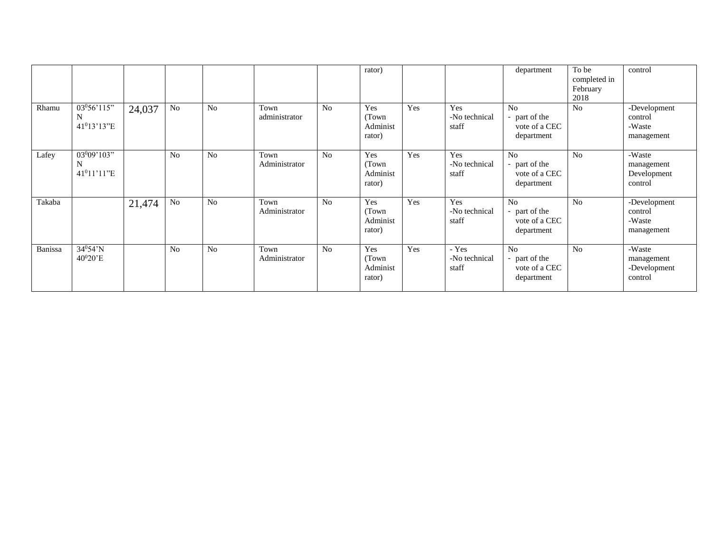|         |                                        |        |                |                |                       |                | rator)                              |     |                                 | department                                                     | To be<br>completed in<br>February<br>2018 | control                                         |
|---------|----------------------------------------|--------|----------------|----------------|-----------------------|----------------|-------------------------------------|-----|---------------------------------|----------------------------------------------------------------|-------------------------------------------|-------------------------------------------------|
| Rhamu   | 03056'115"<br>N<br>$41^013'13''E$      | 24,037 | No             | N <sub>o</sub> | Town<br>administrator | No             | Yes<br>(Town)<br>Administ<br>rator) | Yes | Yes<br>-No technical<br>staff   | No<br>- part of the<br>vote of a CEC<br>department             | N <sub>o</sub>                            | -Development<br>control<br>-Waste<br>management |
| Lafey   | $03^{0}09'103"$<br>N<br>$41^011'11''E$ |        | N <sub>o</sub> | N <sub>0</sub> | Town<br>Administrator | N <sub>o</sub> | Yes<br>(Town)<br>Administ<br>rator) | Yes | Yes<br>-No technical<br>staff   | No<br>- part of the<br>vote of a CEC<br>department             | N <sub>o</sub>                            | -Waste<br>management<br>Development<br>control  |
| Takaba  |                                        | 21,474 | No             | No             | Town<br>Administrator | N <sub>0</sub> | Yes<br>(Town)<br>Administ<br>rator) | Yes | Yes<br>-No technical<br>staff   | No<br>- part of the<br>vote of a CEC<br>department             | N <sub>o</sub>                            | -Development<br>control<br>-Waste<br>management |
| Banissa | $34^{0}54'$ N<br>$40^020$ 'E           |        | N <sub>o</sub> | N <sub>o</sub> | Town<br>Administrator | N <sub>o</sub> | Yes<br>(Town)<br>Administ<br>rator) | Yes | - Yes<br>-No technical<br>staff | N <sub>o</sub><br>- part of the<br>vote of a CEC<br>department | N <sub>o</sub>                            | -Waste<br>management<br>-Development<br>control |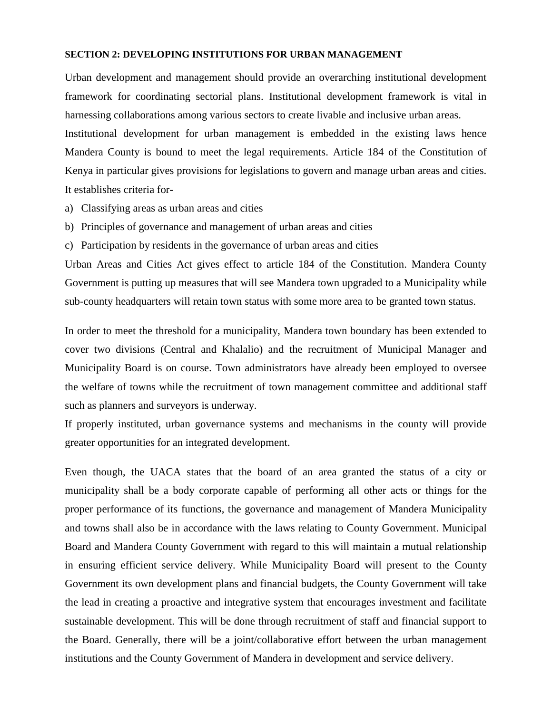#### **SECTION 2: DEVELOPING INSTITUTIONS FOR URBAN MANAGEMENT**

Urban development and management should provide an overarching institutional development framework for coordinating sectorial plans. Institutional development framework is vital in harnessing collaborations among various sectors to create livable and inclusive urban areas.

Institutional development for urban management is embedded in the existing laws hence Mandera County is bound to meet the legal requirements. Article 184 of the Constitution of Kenya in particular gives provisions for legislations to govern and manage urban areas and cities. It establishes criteria for-

- a) Classifying areas as urban areas and cities
- b) Principles of governance and management of urban areas and cities
- c) Participation by residents in the governance of urban areas and cities

Urban Areas and Cities Act gives effect to article 184 of the Constitution. Mandera County Government is putting up measures that will see Mandera town upgraded to a Municipality while sub-county headquarters will retain town status with some more area to be granted town status.

In order to meet the threshold for a municipality, Mandera town boundary has been extended to cover two divisions (Central and Khalalio) and the recruitment of Municipal Manager and Municipality Board is on course. Town administrators have already been employed to oversee the welfare of towns while the recruitment of town management committee and additional staff such as planners and surveyors is underway.

If properly instituted, urban governance systems and mechanisms in the county will provide greater opportunities for an integrated development.

Even though, the UACA states that the board of an area granted the status of a city or municipality shall be a body corporate capable of performing all other acts or things for the proper performance of its functions, the governance and management of Mandera Municipality and towns shall also be in accordance with the laws relating to County Government. Municipal Board and Mandera County Government with regard to this will maintain a mutual relationship in ensuring efficient service delivery. While Municipality Board will present to the County Government its own development plans and financial budgets, the County Government will take the lead in creating a proactive and integrative system that encourages investment and facilitate sustainable development. This will be done through recruitment of staff and financial support to the Board. Generally, there will be a joint/collaborative effort between the urban management institutions and the County Government of Mandera in development and service delivery.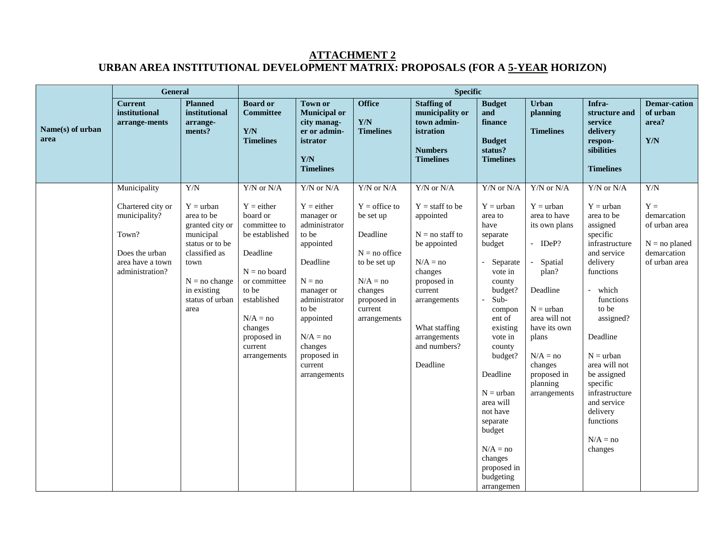# **ATTACHMENT 2 URBAN AREA INSTITUTIONAL DEVELOPMENT MATRIX: PROPOSALS (FOR A 5-YEAR HORIZON)**

|                          | <b>General</b>                                                                                       |                                                                                                                                                                    | <b>Specific</b>                                                                                                                                                                                     |                                                                                                                                                                                                                   |                                                                                                                                                |                                                                                                                                                                                                            |                                                                                                                                                                                                                                                                                                                                                         |                                                                                                                                                                                                                        |                                                                                                                                                                                                                                                                                                                   |                                                                                          |  |  |  |
|--------------------------|------------------------------------------------------------------------------------------------------|--------------------------------------------------------------------------------------------------------------------------------------------------------------------|-----------------------------------------------------------------------------------------------------------------------------------------------------------------------------------------------------|-------------------------------------------------------------------------------------------------------------------------------------------------------------------------------------------------------------------|------------------------------------------------------------------------------------------------------------------------------------------------|------------------------------------------------------------------------------------------------------------------------------------------------------------------------------------------------------------|---------------------------------------------------------------------------------------------------------------------------------------------------------------------------------------------------------------------------------------------------------------------------------------------------------------------------------------------------------|------------------------------------------------------------------------------------------------------------------------------------------------------------------------------------------------------------------------|-------------------------------------------------------------------------------------------------------------------------------------------------------------------------------------------------------------------------------------------------------------------------------------------------------------------|------------------------------------------------------------------------------------------|--|--|--|
| Name(s) of urban<br>area | <b>Current</b><br>institutional<br>arrange-ments                                                     | <b>Planned</b><br>institutional<br>arrange-<br>ments?                                                                                                              | <b>Board or</b><br><b>Committee</b><br>Y/N<br><b>Timelines</b>                                                                                                                                      | <b>Town or</b><br><b>Municipal or</b><br>city manag-<br>er or admin-<br>istrator<br>Y/N<br><b>Timelines</b>                                                                                                       | <b>Office</b><br>Y/N<br><b>Timelines</b>                                                                                                       | <b>Staffing of</b><br>municipality or<br>town admin-<br>istration<br><b>Numbers</b><br><b>Timelines</b>                                                                                                    | <b>Budget</b><br>and<br>finance<br><b>Budget</b><br>status?<br><b>Timelines</b>                                                                                                                                                                                                                                                                         | Urban<br>planning<br><b>Timelines</b>                                                                                                                                                                                  | Infra-<br>structure and<br>service<br>delivery<br>respon-<br>sibilities<br><b>Timelines</b>                                                                                                                                                                                                                       | <b>Demar-cation</b><br>of urban<br>area?<br>Y/N                                          |  |  |  |
|                          | Municipality                                                                                         | Y/N                                                                                                                                                                | $Y/N$ or $N/A$                                                                                                                                                                                      | $Y/N$ or $N/A$                                                                                                                                                                                                    | $Y/N$ or $N/A$                                                                                                                                 | $Y/N$ or $N/A$                                                                                                                                                                                             | $Y/N$ or $N/A$                                                                                                                                                                                                                                                                                                                                          | $Y/N$ or $N/A$                                                                                                                                                                                                         | $Y/N$ or $N/A$                                                                                                                                                                                                                                                                                                    | Y/N                                                                                      |  |  |  |
|                          | Chartered city or<br>municipality?<br>Town?<br>Does the urban<br>area have a town<br>administration? | $Y = urban$<br>area to be<br>granted city or<br>municipal<br>status or to be<br>classified as<br>town<br>$N = no change$<br>in existing<br>status of urban<br>area | $Y = either$<br>board or<br>committee to<br>be established<br>Deadline<br>$N = no$ board<br>or committee<br>to be<br>established<br>$N/A = no$<br>changes<br>proposed in<br>current<br>arrangements | $Y = either$<br>manager or<br>administrator<br>to be<br>appointed<br>Deadline<br>$N = no$<br>manager or<br>administrator<br>to be<br>appointed<br>$N/A = no$<br>changes<br>proposed in<br>current<br>arrangements | $Y =$ office to<br>be set up<br>Deadline<br>$N = no$ office<br>to be set up<br>$N/A = no$<br>changes<br>proposed in<br>current<br>arrangements | $Y = \text{staff to be}$<br>appointed<br>$N = no$ staff to<br>be appointed<br>$N/A = no$<br>changes<br>proposed in<br>current<br>arrangements<br>What staffing<br>arrangements<br>and numbers?<br>Deadline | $Y = urban$<br>area to<br>have<br>separate<br>budget<br>Separate<br>$\mathbf{r}$<br>vote in<br>county<br>budget?<br>Sub-<br>$\blacksquare$<br>compon<br>ent of<br>existing<br>vote in<br>county<br>budget?<br>Deadline<br>$N =$ urban<br>area will<br>not have<br>separate<br>budget<br>$N/A = no$<br>changes<br>proposed in<br>budgeting<br>arrangemen | $Y = urban$<br>area to have<br>its own plans<br>$-$ IDeP?<br>Spatial<br>plan?<br>Deadline<br>$N =$ urban<br>area will not<br>have its own<br>plans<br>$N/A = no$<br>changes<br>proposed in<br>planning<br>arrangements | $Y = urban$<br>area to be<br>assigned<br>specific<br>infrastructure<br>and service<br>delivery<br>functions<br>which<br>functions<br>to be<br>assigned?<br>Deadline<br>$N =$ urban<br>area will not<br>be assigned<br>specific<br>infrastructure<br>and service<br>delivery<br>functions<br>$N/A = no$<br>changes | $Y =$<br>demarcation<br>of urban area<br>$N = no$ planed<br>demarcation<br>of urban area |  |  |  |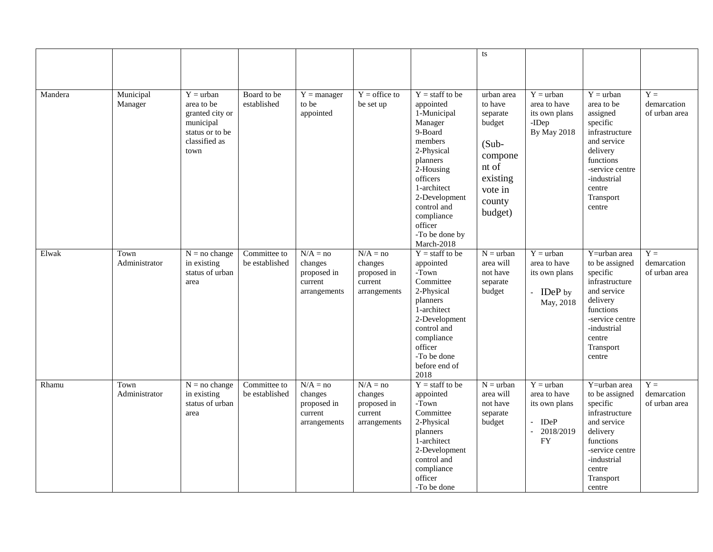|         |                       |                                                                                                       |                                |                                                                 |                                                                 |                                                                                                                                                                                                                                                     | ts                                                                                                                      |                                                                                                                              |                                                                                                                                                                                       |                                       |
|---------|-----------------------|-------------------------------------------------------------------------------------------------------|--------------------------------|-----------------------------------------------------------------|-----------------------------------------------------------------|-----------------------------------------------------------------------------------------------------------------------------------------------------------------------------------------------------------------------------------------------------|-------------------------------------------------------------------------------------------------------------------------|------------------------------------------------------------------------------------------------------------------------------|---------------------------------------------------------------------------------------------------------------------------------------------------------------------------------------|---------------------------------------|
| Mandera | Municipal<br>Manager  | $Y = urban$<br>area to be<br>granted city or<br>municipal<br>status or to be<br>classified as<br>town | Board to be<br>established     | $Y = manager$<br>to be<br>appointed                             | $Y =$ office to<br>be set up                                    | $Y = \text{staff to be}$<br>appointed<br>1-Municipal<br>Manager<br>9-Board<br>members<br>2-Physical<br>planners<br>$2$ -Housing<br>officers<br>1-architect<br>2-Development<br>control and<br>compliance<br>officer<br>-To be done by<br>March-2018 | urban area<br>to have<br>separate<br>budget<br>$(Sub -$<br>compone<br>nt of<br>existing<br>vote in<br>county<br>budget) | $Y = urban$<br>area to have<br>its own plans<br>-IDep<br><b>By May 2018</b>                                                  | $Y = urban$<br>area to be<br>assigned<br>specific<br>infrastructure<br>and service<br>delivery<br>functions<br>-service centre<br>-industrial<br>centre<br>Transport<br>centre        | $Y =$<br>demarcation<br>of urban area |
| Elwak   | Town<br>Administrator | $N = no change$<br>in existing<br>status of urban<br>area                                             | Committee to<br>be established | $N/A = no$<br>changes<br>proposed in<br>current<br>arrangements | $N/A = no$<br>changes<br>proposed in<br>current<br>arrangements | $Y = \text{staff to be}$<br>appointed<br>-Town<br>Committee<br>2-Physical<br>planners<br>1-architect<br>2-Development<br>control and<br>compliance<br>officer<br>-To be done<br>before end of<br>2018                                               | $N =$ urban<br>area will<br>not have<br>separate<br>budget                                                              | $Y = urban$<br>area to have<br>its own plans<br>- IDeP by<br>May, 2018                                                       | $\overline{Y}$ =urban area<br>to be assigned<br>specific<br>infrastructure<br>and service<br>delivery<br>functions<br>-service centre<br>-industrial<br>centre<br>Transport<br>centre | $Y =$<br>demarcation<br>of urban area |
| Rhamu   | Town<br>Administrator | $N = no change$<br>in existing<br>status of urban<br>area                                             | Committee to<br>be established | $N/A = no$<br>changes<br>proposed in<br>current<br>arrangements | $N/A = no$<br>changes<br>proposed in<br>current<br>arrangements | $Y = \text{staff to be}$<br>appointed<br>-Town<br>Committee<br>2-Physical<br>planners<br>1-architect<br>2-Development<br>control and<br>compliance<br>officer<br>-To be done                                                                        | $N =$ urban<br>area will<br>not have<br>separate<br>budget                                                              | $Y = urban$<br>area to have<br>its own plans<br>IDeP<br>$\overline{\phantom{a}}$<br>2018/2019<br>$\blacksquare$<br><b>FY</b> | $\overline{Y}$ =urban area<br>to be assigned<br>specific<br>infrastructure<br>and service<br>delivery<br>functions<br>-service centre<br>-industrial<br>centre<br>Transport<br>centre | $Y =$<br>demarcation<br>of urban area |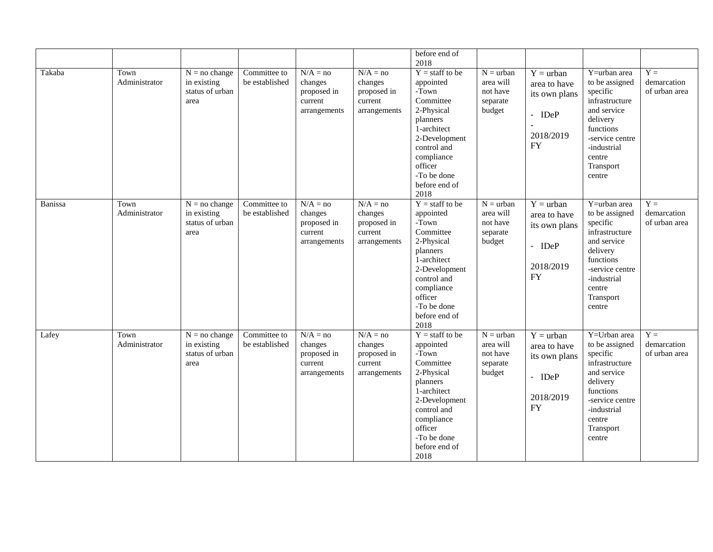|         |                       |                                                           |                                |                                                                 |                                                                 | before end of<br>2018                                                                                                                                                                                 |                                                            |                                                                                    |                                                                                                                                                                         |                                       |
|---------|-----------------------|-----------------------------------------------------------|--------------------------------|-----------------------------------------------------------------|-----------------------------------------------------------------|-------------------------------------------------------------------------------------------------------------------------------------------------------------------------------------------------------|------------------------------------------------------------|------------------------------------------------------------------------------------|-------------------------------------------------------------------------------------------------------------------------------------------------------------------------|---------------------------------------|
| Takaba  | Town<br>Administrator | $N = no change$<br>in existing<br>status of urban<br>area | Committee to<br>be established | $N/A = no$<br>changes<br>proposed in<br>current<br>arrangements | $N/A = no$<br>changes<br>proposed in<br>current<br>arrangements | $Y = \text{staff to be}$<br>appointed<br>-Town<br>Committee<br>2-Physical<br>planners<br>1-architect<br>2-Development<br>control and<br>compliance<br>officer<br>-To be done<br>before end of<br>2018 | $N =$ urban<br>area will<br>not have<br>separate<br>budget | $Y = urban$<br>area to have<br>its own plans<br>- IDeP<br>2018/2019<br><b>FY</b>   | Y=urban area<br>to be assigned<br>specific<br>infrastructure<br>and service<br>delivery<br>functions<br>-service centre<br>-industrial<br>centre<br>Transport<br>centre | $Y =$<br>demarcation<br>of urban area |
| Banissa | Town<br>Administrator | $N = no change$<br>in existing<br>status of urban<br>area | Committee to<br>be established | $N/A = no$<br>changes<br>proposed in<br>current<br>arrangements | $N/A = no$<br>changes<br>proposed in<br>current<br>arrangements | $Y = \text{staff to be}$<br>appointed<br>-Town<br>Committee<br>2-Physical<br>planners<br>1-architect<br>2-Development<br>control and<br>compliance<br>officer<br>-To be done<br>before end of<br>2018 | $N =$ urban<br>area will<br>not have<br>separate<br>budget | $Y = urban$<br>area to have<br>its own plans<br>$-$ IDeP<br>2018/2019<br><b>FY</b> | Y=urban area<br>to be assigned<br>specific<br>infrastructure<br>and service<br>delivery<br>functions<br>-service centre<br>-industrial<br>centre<br>Transport<br>centre | $Y =$<br>demarcation<br>of urban area |
| Lafey   | Town<br>Administrator | $N = no change$<br>in existing<br>status of urban<br>area | Committee to<br>be established | $N/A = no$<br>changes<br>proposed in<br>current<br>arrangements | $N/A = no$<br>changes<br>proposed in<br>current<br>arrangements | $Y = \text{staff to be}$<br>appointed<br>-Town<br>Committee<br>2-Physical<br>planners<br>1-architect<br>2-Development<br>control and<br>compliance<br>officer<br>-To be done<br>before end of<br>2018 | $N =$ urban<br>area will<br>not have<br>separate<br>budget | $Y = urban$<br>area to have<br>its own plans<br>- IDeP<br>2018/2019<br><b>FY</b>   | Y=Urban area<br>to be assigned<br>specific<br>infrastructure<br>and service<br>delivery<br>functions<br>-service centre<br>-industrial<br>centre<br>Transport<br>centre | $Y =$<br>demarcation<br>of urban area |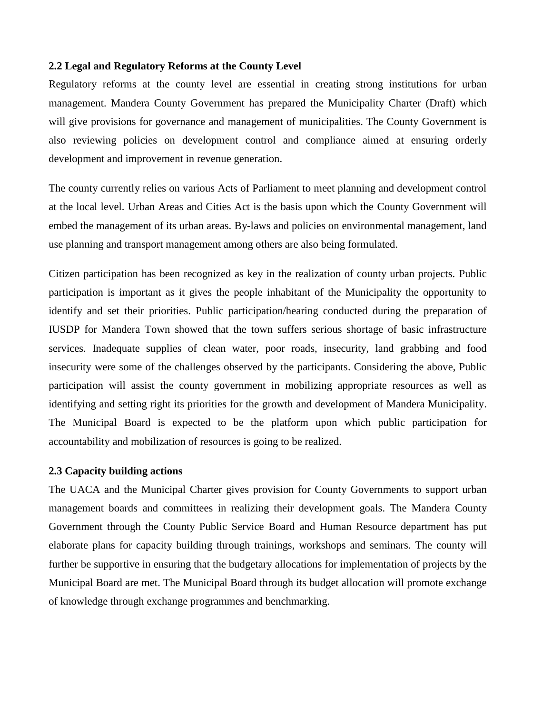### **2.2 Legal and Regulatory Reforms at the County Level**

Regulatory reforms at the county level are essential in creating strong institutions for urban management. Mandera County Government has prepared the Municipality Charter (Draft) which will give provisions for governance and management of municipalities. The County Government is also reviewing policies on development control and compliance aimed at ensuring orderly development and improvement in revenue generation.

The county currently relies on various Acts of Parliament to meet planning and development control at the local level. Urban Areas and Cities Act is the basis upon which the County Government will embed the management of its urban areas. By-laws and policies on environmental management, land use planning and transport management among others are also being formulated.

Citizen participation has been recognized as key in the realization of county urban projects. Public participation is important as it gives the people inhabitant of the Municipality the opportunity to identify and set their priorities. Public participation/hearing conducted during the preparation of IUSDP for Mandera Town showed that the town suffers serious shortage of basic infrastructure services. Inadequate supplies of clean water, poor roads, insecurity, land grabbing and food insecurity were some of the challenges observed by the participants. Considering the above, Public participation will assist the county government in mobilizing appropriate resources as well as identifying and setting right its priorities for the growth and development of Mandera Municipality. The Municipal Board is expected to be the platform upon which public participation for accountability and mobilization of resources is going to be realized.

#### **2.3 Capacity building actions**

The UACA and the Municipal Charter gives provision for County Governments to support urban management boards and committees in realizing their development goals. The Mandera County Government through the County Public Service Board and Human Resource department has put elaborate plans for capacity building through trainings, workshops and seminars. The county will further be supportive in ensuring that the budgetary allocations for implementation of projects by the Municipal Board are met. The Municipal Board through its budget allocation will promote exchange of knowledge through exchange programmes and benchmarking.